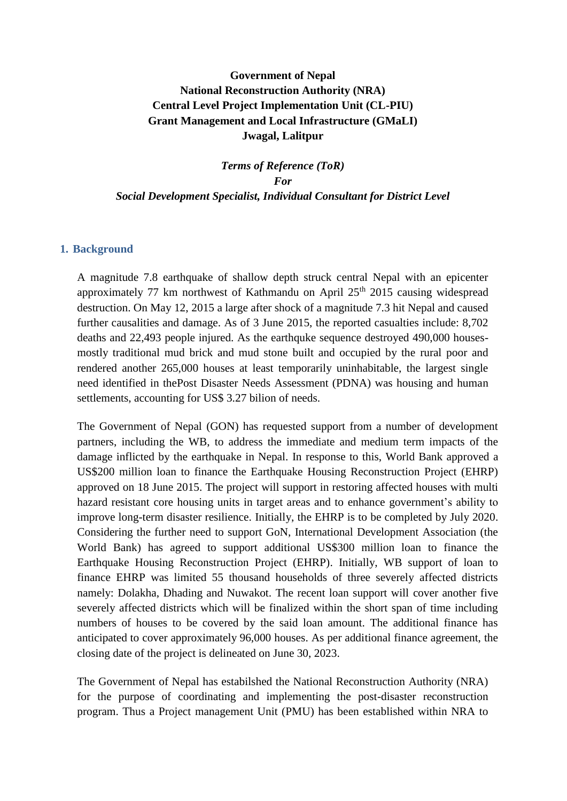# **Government of Nepal National Reconstruction Authority (NRA) Central Level Project Implementation Unit (CL-PIU) Grant Management and Local Infrastructure (GMaLI) Jwagal, Lalitpur**

*Terms of Reference (ToR) For Social Development Specialist, Individual Consultant for District Level*

### **1. Background**

A magnitude 7.8 earthquake of shallow depth struck central Nepal with an epicenter approximately 77 km northwest of Kathmandu on April  $25<sup>th</sup>$  2015 causing widespread destruction. On May 12, 2015 a large after shock of a magnitude 7.3 hit Nepal and caused further causalities and damage. As of 3 June 2015, the reported casualties include: 8,702 deaths and 22,493 people injured. As the earthquke sequence destroyed 490,000 housesmostly traditional mud brick and mud stone built and occupied by the rural poor and rendered another 265,000 houses at least temporarily uninhabitable, the largest single need identified in thePost Disaster Needs Assessment (PDNA) was housing and human settlements, accounting for US\$ 3.27 bilion of needs.

The Government of Nepal (GON) has requested support from a number of development partners, including the WB, to address the immediate and medium term impacts of the damage inflicted by the earthquake in Nepal. In response to this, World Bank approved a US\$200 million loan to finance the Earthquake Housing Reconstruction Project (EHRP) approved on 18 June 2015. The project will support in restoring affected houses with multi hazard resistant core housing units in target areas and to enhance government's ability to improve long-term disaster resilience. Initially, the EHRP is to be completed by July 2020. Considering the further need to support GoN, International Development Association (the World Bank) has agreed to support additional US\$300 million loan to finance the Earthquake Housing Reconstruction Project (EHRP). Initially, WB support of loan to finance EHRP was limited 55 thousand households of three severely affected districts namely: Dolakha, Dhading and Nuwakot. The recent loan support will cover another five severely affected districts which will be finalized within the short span of time including numbers of houses to be covered by the said loan amount. The additional finance has anticipated to cover approximately 96,000 houses. As per additional finance agreement, the closing date of the project is delineated on June 30, 2023.

The Government of Nepal has estabilshed the National Reconstruction Authority (NRA) for the purpose of coordinating and implementing the post-disaster reconstruction program. Thus a Project management Unit (PMU) has been established within NRA to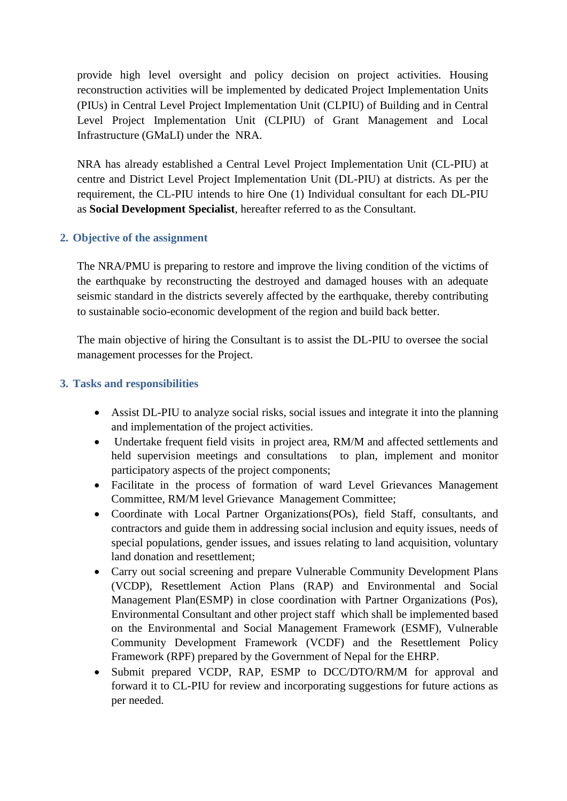provide high level oversight and policy decision on project activities. Housing reconstruction activities will be implemented by dedicated Project Implementation Units (PIUs) in Central Level Project Implementation Unit (CLPIU) of Building and in Central Level Project Implementation Unit (CLPIU) of Grant Management and Local Infrastructure (GMaLI) under the NRA.

NRA has already established a Central Level Project Implementation Unit (CL-PIU) at centre and District Level Project Implementation Unit (DL-PIU) at districts. As per the requirement, the CL-PIU intends to hire One (1) Individual consultant for each DL-PIU as **Social Development Specialist**, hereafter referred to as the Consultant.

## **2. Objective of the assignment**

The NRA/PMU is preparing to restore and improve the living condition of the victims of the earthquake by reconstructing the destroyed and damaged houses with an adequate seismic standard in the districts severely affected by the earthquake, thereby contributing to sustainable socio-economic development of the region and build back better.

The main objective of hiring the Consultant is to assist the DL-PIU to oversee the social management processes for the Project.

## **3. Tasks and responsibilities**

- Assist DL-PIU to analyze social risks, social issues and integrate it into the planning and implementation of the project activities.
- Undertake frequent field visits in project area, RM/M and affected settlements and held supervision meetings and consultations to plan, implement and monitor participatory aspects of the project components;
- Facilitate in the process of formation of ward Level Grievances Management Committee, RM/M level Grievance Management Committee;
- Coordinate with Local Partner Organizations(POs), field Staff, consultants, and contractors and guide them in addressing social inclusion and equity issues, needs of special populations, gender issues, and issues relating to land acquisition, voluntary land donation and resettlement;
- Carry out social screening and prepare Vulnerable Community Development Plans (VCDP), Resettlement Action Plans (RAP) and Environmental and Social Management Plan(ESMP) in close coordination with Partner Organizations (Pos), Environmental Consultant and other project staff which shall be implemented based on the Environmental and Social Management Framework (ESMF), Vulnerable Community Development Framework (VCDF) and the Resettlement Policy Framework (RPF) prepared by the Government of Nepal for the EHRP.
- Submit prepared VCDP, RAP, ESMP to DCC/DTO/RM/M for approval and forward it to CL-PIU for review and incorporating suggestions for future actions as per needed.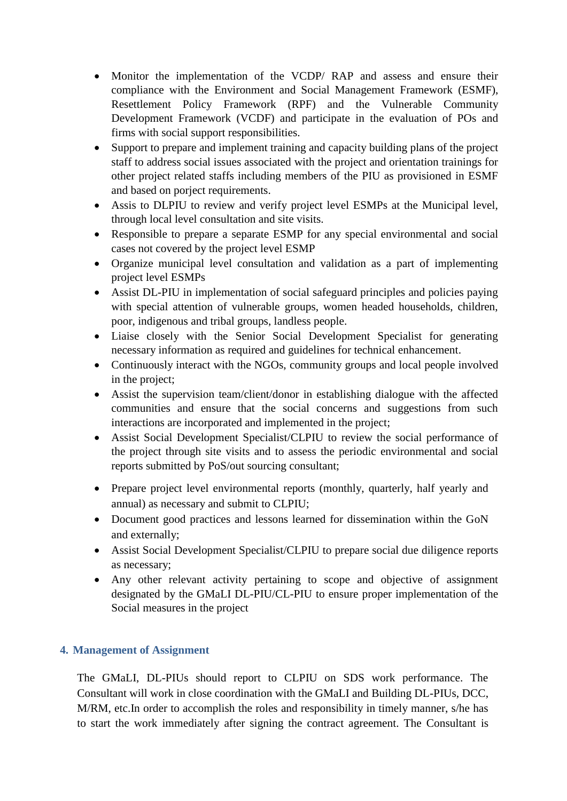- Monitor the implementation of the VCDP/ RAP and assess and ensure their compliance with the Environment and Social Management Framework (ESMF), Resettlement Policy Framework (RPF) and the Vulnerable Community Development Framework (VCDF) and participate in the evaluation of POs and firms with social support responsibilities.
- Support to prepare and implement training and capacity building plans of the project staff to address social issues associated with the project and orientation trainings for other project related staffs including members of the PIU as provisioned in ESMF and based on porject requirements.
- Assis to DLPIU to review and verify project level ESMPs at the Municipal level, through local level consultation and site visits.
- Responsible to prepare a separate ESMP for any special environmental and social cases not covered by the project level ESMP
- Organize municipal level consultation and validation as a part of implementing project level ESMPs
- Assist DL-PIU in implementation of social safeguard principles and policies paying with special attention of vulnerable groups, women headed households, children, poor, indigenous and tribal groups, landless people.
- Liaise closely with the Senior Social Development Specialist for generating necessary information as required and guidelines for technical enhancement.
- Continuously interact with the NGOs, community groups and local people involved in the project;
- Assist the supervision team/client/donor in establishing dialogue with the affected communities and ensure that the social concerns and suggestions from such interactions are incorporated and implemented in the project;
- Assist Social Development Specialist/CLPIU to review the social performance of the project through site visits and to assess the periodic environmental and social reports submitted by PoS/out sourcing consultant;
- Prepare project level environmental reports (monthly, quarterly, half yearly and annual) as necessary and submit to CLPIU;
- Document good practices and lessons learned for dissemination within the GoN and externally;
- Assist Social Development Specialist/CLPIU to prepare social due diligence reports as necessary;
- Any other relevant activity pertaining to scope and objective of assignment designated by the GMaLI DL-PIU/CL-PIU to ensure proper implementation of the Social measures in the project

# **4. Management of Assignment**

The GMaLI, DL-PIUs should report to CLPIU on SDS work performance. The Consultant will work in close coordination with the GMaLI and Building DL-PIUs, DCC, M/RM, etc.In order to accomplish the roles and responsibility in timely manner, s/he has to start the work immediately after signing the contract agreement. The Consultant is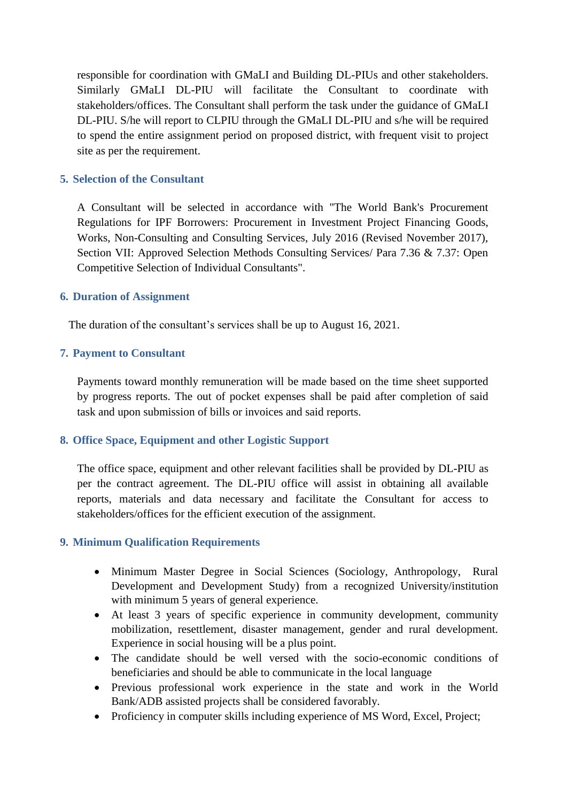responsible for coordination with GMaLI and Building DL-PIUs and other stakeholders. Similarly GMaLI DL-PIU will facilitate the Consultant to coordinate with stakeholders/offices. The Consultant shall perform the task under the guidance of GMaLI DL-PIU. S/he will report to CLPIU through the GMaLI DL-PIU and s/he will be required to spend the entire assignment period on proposed district, with frequent visit to project site as per the requirement.

### **5. Selection of the Consultant**

A Consultant will be selected in accordance with "The World Bank's Procurement Regulations for IPF Borrowers: Procurement in Investment Project Financing Goods, Works, Non-Consulting and Consulting Services, July 2016 (Revised November 2017), Section VII: Approved Selection Methods Consulting Services/ Para 7.36 & 7.37: Open Competitive Selection of Individual Consultants".

### **6. Duration of Assignment**

The duration of the consultant's services shall be up to August 16, 2021.

### **7. Payment to Consultant**

Payments toward monthly remuneration will be made based on the time sheet supported by progress reports. The out of pocket expenses shall be paid after completion of said task and upon submission of bills or invoices and said reports.

## **8. Office Space, Equipment and other Logistic Support**

The office space, equipment and other relevant facilities shall be provided by DL-PIU as per the contract agreement. The DL-PIU office will assist in obtaining all available reports, materials and data necessary and facilitate the Consultant for access to stakeholders/offices for the efficient execution of the assignment.

#### **9. Minimum Qualification Requirements**

- Minimum Master Degree in Social Sciences (Sociology, Anthropology, Rural Development and Development Study) from a recognized University/institution with minimum 5 years of general experience.
- At least 3 years of specific experience in community development, community mobilization, resettlement, disaster management, gender and rural development. Experience in social housing will be a plus point.
- The candidate should be well versed with the socio-economic conditions of beneficiaries and should be able to communicate in the local language
- Previous professional work experience in the state and work in the World Bank/ADB assisted projects shall be considered favorably.
- Proficiency in computer skills including experience of MS Word, Excel, Project;